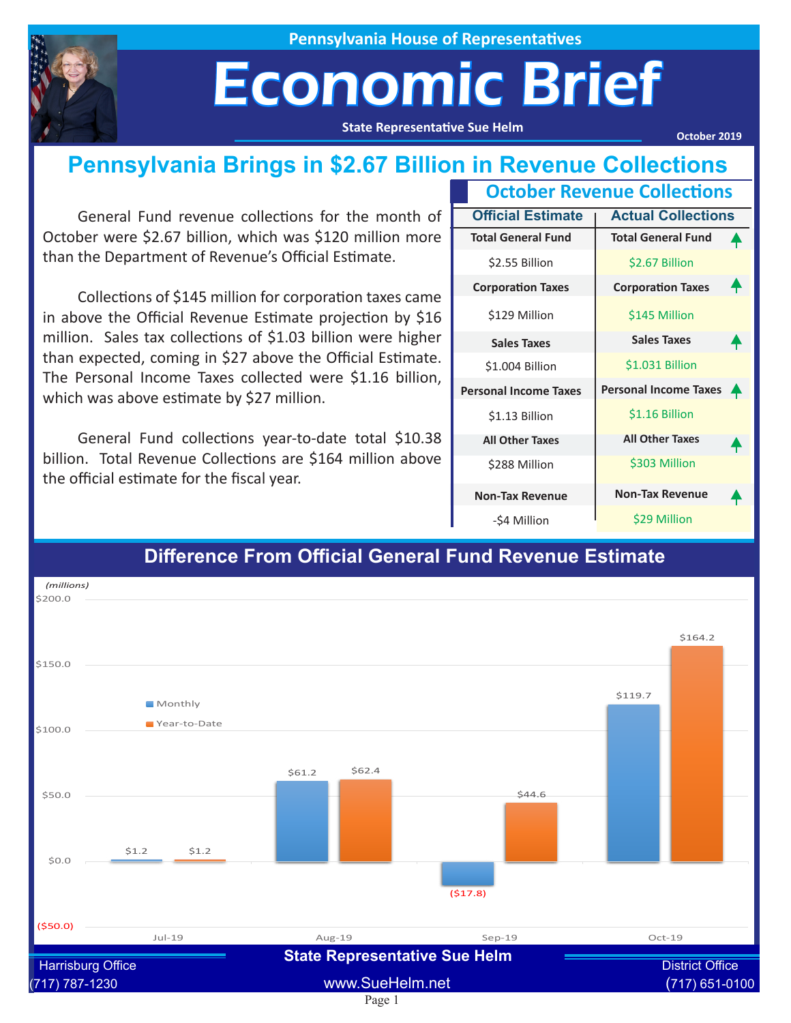

**Pennsylvania House of Representatives**

# Economic Brief

**State Representative Sue Helm**

**October 2019**

### **Pennsylvania Brings in \$2.67 Billion in Revenue Collections**

General Fund revenue collections for the month of October were \$2.67 billion, which was \$120 million more than the Department of Revenue's Official Estimate.

Collections of \$145 million for corporation taxes came in above the Official Revenue Estimate projection by \$16 million. Sales tax collections of \$1.03 billion were higher than expected, coming in \$27 above the Official Estimate. The Personal Income Taxes collected were \$1.16 billion, which was above estimate by \$27 million.

General Fund collections year-to-date total \$10.38 billion. Total Revenue Collections are \$164 million above the official estimate for the fiscal year.

| <b>October Revenue Collections</b>                    |                              |          |  |  |  |  |
|-------------------------------------------------------|------------------------------|----------|--|--|--|--|
| <b>Actual Collections</b><br><b>Official Estimate</b> |                              |          |  |  |  |  |
| <b>Total General Fund</b>                             | <b>Total General Fund</b>    |          |  |  |  |  |
| \$2.55 Billion                                        | \$2.67 Billion               |          |  |  |  |  |
| <b>Corporation Taxes</b>                              | <b>Corporation Taxes</b>     |          |  |  |  |  |
| \$129 Million                                         | \$145 Million                |          |  |  |  |  |
| <b>Sales Taxes</b>                                    | <b>Sales Taxes</b>           |          |  |  |  |  |
| \$1.004 Billion                                       | \$1.031 Billion              |          |  |  |  |  |
| <b>Personal Income Taxes</b>                          | <b>Personal Income Taxes</b> | <b>A</b> |  |  |  |  |
| \$1.13 Billion                                        | \$1.16 Billion               |          |  |  |  |  |
| <b>All Other Taxes</b>                                | <b>All Other Taxes</b>       |          |  |  |  |  |
| \$288 Million                                         | \$303 Million                |          |  |  |  |  |
| <b>Non-Tax Revenue</b>                                | <b>Non-Tax Revenue</b>       |          |  |  |  |  |
| -\$4 Million                                          | \$29 Million                 |          |  |  |  |  |



#### **Difference From Official General Fund Revenue Estimate**